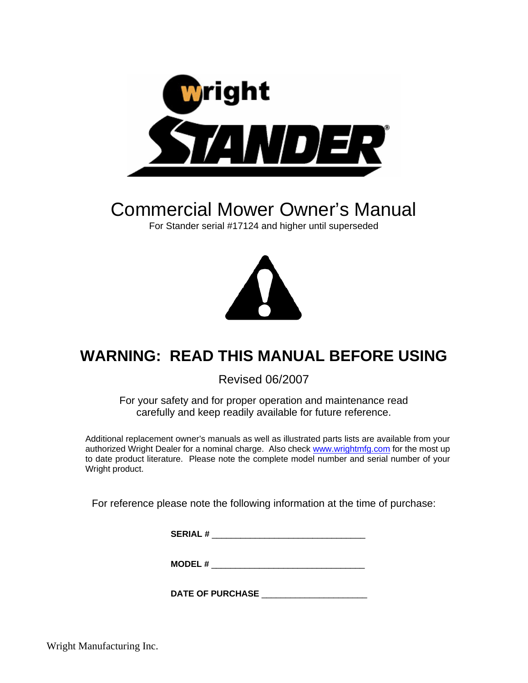

# Commercial Mower Owner's Manual

For Stander serial #17124 and higher until superseded



## **WARNING: READ THIS MANUAL BEFORE USING**

Revised 06/2007

For your safety and for proper operation and maintenance read carefully and keep readily available for future reference.

Additional replacement owner's manuals as well as illustrated parts lists are available from your authorized Wright Dealer for a nominal charge. Also check [www.wrightmfg.com](http://www.wrightmfg.com/) for the most up to date product literature. Please note the complete model number and serial number of your Wright product.

For reference please note the following information at the time of purchase:

**SERIAL #** \_\_\_\_\_\_\_\_\_\_\_\_\_\_\_\_\_\_\_\_\_\_\_\_\_\_\_\_\_\_\_\_

**MODEL #** \_\_\_\_\_\_\_\_\_\_\_\_\_\_\_\_\_\_\_\_\_\_\_\_\_\_\_\_\_\_\_\_

**DATE OF PURCHASE** \_\_\_\_\_\_\_\_\_\_\_\_\_\_\_\_\_\_\_\_\_\_

Wright Manufacturing Inc.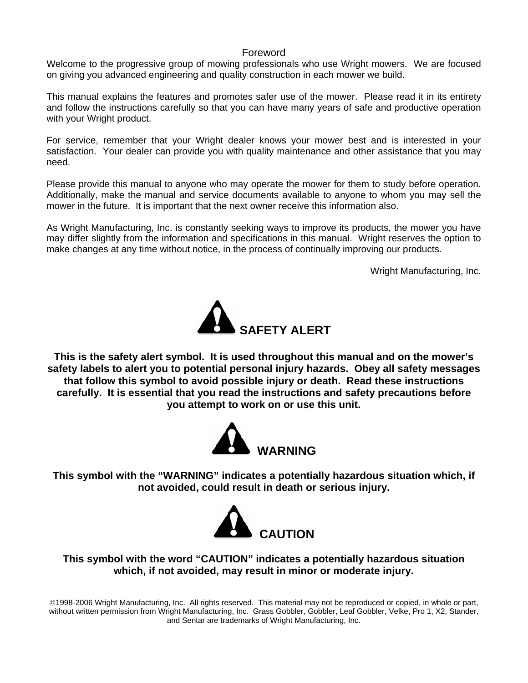#### Foreword

Welcome to the progressive group of mowing professionals who use Wright mowers. We are focused on giving you advanced engineering and quality construction in each mower we build.

This manual explains the features and promotes safer use of the mower. Please read it in its entirety and follow the instructions carefully so that you can have many years of safe and productive operation with your Wright product.

For service, remember that your Wright dealer knows your mower best and is interested in your satisfaction. Your dealer can provide you with quality maintenance and other assistance that you may need.

Please provide this manual to anyone who may operate the mower for them to study before operation. Additionally, make the manual and service documents available to anyone to whom you may sell the mower in the future. It is important that the next owner receive this information also.

As Wright Manufacturing, Inc. is constantly seeking ways to improve its products, the mower you have may differ slightly from the information and specifications in this manual. Wright reserves the option to make changes at any time without notice, in the process of continually improving our products.

Wright Manufacturing, Inc.



**This is the safety alert symbol. It is used throughout this manual and on the mower's safety labels to alert you to potential personal injury hazards. Obey all safety messages that follow this symbol to avoid possible injury or death. Read these instructions carefully. It is essential that you read the instructions and safety precautions before you attempt to work on or use this unit.** 



**This symbol with the "WARNING" indicates a potentially hazardous situation which, if not avoided, could result in death or serious injury.** 



**This symbol with the word "CAUTION" indicates a potentially hazardous situation which, if not avoided, may result in minor or moderate injury.** 

©1998-2006 Wright Manufacturing, Inc. All rights reserved. This material may not be reproduced or copied, in whole or part, without written permission from Wright Manufacturing, Inc. Grass Gobbler, Gobbler, Leaf Gobbler, Velke, Pro 1, X2, Stander, and Sentar are trademarks of Wright Manufacturing, Inc.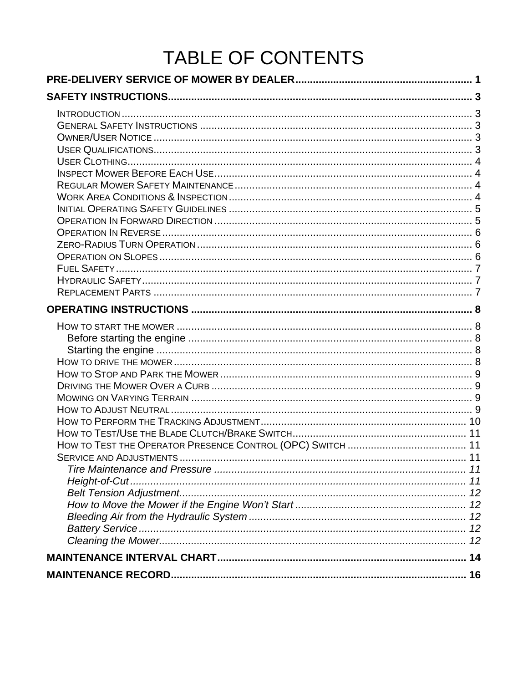# TABLE OF CONTENTS

| <b>SERVICE AND ADJUSTMENTS.</b> |  |
|---------------------------------|--|
|                                 |  |
|                                 |  |
|                                 |  |
|                                 |  |
|                                 |  |
|                                 |  |
|                                 |  |
|                                 |  |
|                                 |  |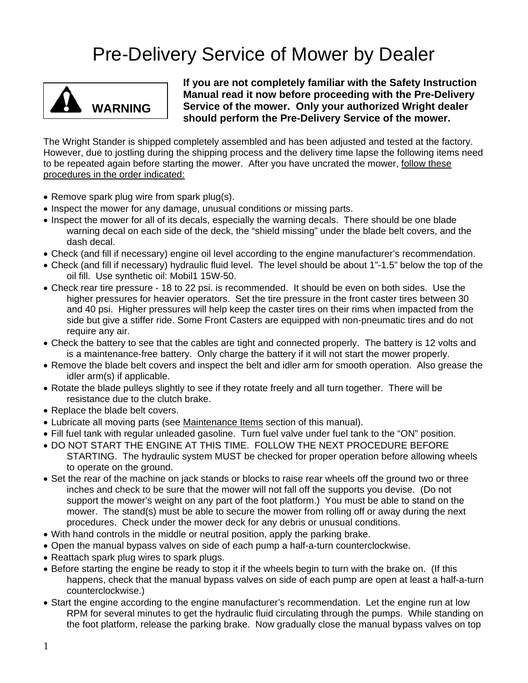## Pre-Delivery Service of Mower by Dealer

<span id="page-3-0"></span>

**If you are not completely familiar with the Safety Instruction Manual read it now before proceeding with the Pre-Delivery Service of the mower. Only your authorized Wright dealer WARNING** Service of the mower. Only your authorized Wright deal should perform the Pre-Delivery Service of the mower.

The Wright Stander is shipped completely assembled and has been adjusted and tested at the factory. However, due to jostling during the shipping process and the delivery time lapse the following items need to be repeated again before starting the mower. After you have uncrated the mower, follow these procedures in the order indicated:

- Remove spark plug wire from spark plug(s).
- Inspect the mower for any damage, unusual conditions or missing parts.
- Inspect the mower for all of its decals, especially the warning decals. There should be one blade warning decal on each side of the deck, the "shield missing" under the blade belt covers, and the dash decal.
- Check (and fill if necessary) engine oil level according to the engine manufacturer's recommendation.
- Check (and fill if necessary) hydraulic fluid level. The level should be about 1"-1.5" below the top of the oil fill. Use synthetic oil: Mobil1 15W-50.
- Check rear tire pressure 18 to 22 psi. is recommended. It should be even on both sides. Use the higher pressures for heavier operators. Set the tire pressure in the front caster tires between 30 and 40 psi. Higher pressures will help keep the caster tires on their rims when impacted from the side but give a stiffer ride. Some Front Casters are equipped with non-pneumatic tires and do not require any air.
- Check the battery to see that the cables are tight and connected properly. The battery is 12 volts and is a maintenance-free battery. Only charge the battery if it will not start the mower properly.
- Remove the blade belt covers and inspect the belt and idler arm for smooth operation. Also grease the idler arm(s) if applicable.
- Rotate the blade pulleys slightly to see if they rotate freely and all turn together. There will be resistance due to the clutch brake.
- Replace the blade belt covers.
- Lubricate all moving parts (see Maintenance Items section of this manual).
- Fill fuel tank with regular unleaded gasoline. Turn fuel valve under fuel tank to the "ON" position.
- DO NOT START THE ENGINE AT THIS TIME. FOLLOW THE NEXT PROCEDURE BEFORE STARTING. The hydraulic system MUST be checked for proper operation before allowing wheels to operate on the ground.
- Set the rear of the machine on jack stands or blocks to raise rear wheels off the ground two or three inches and check to be sure that the mower will not fall off the supports you devise. (Do not support the mower's weight on any part of the foot platform.) You must be able to stand on the mower. The stand(s) must be able to secure the mower from rolling off or away during the next procedures. Check under the mower deck for any debris or unusual conditions.
- With hand controls in the middle or neutral position, apply the parking brake.
- Open the manual bypass valves on side of each pump a half-a-turn counterclockwise.
- Reattach spark plug wires to spark plugs.
- Before starting the engine be ready to stop it if the wheels begin to turn with the brake on. (If this happens, check that the manual bypass valves on side of each pump are open at least a half-a-turn counterclockwise.)
- Start the engine according to the engine manufacturer's recommendation. Let the engine run at low RPM for several minutes to get the hydraulic fluid circulating through the pumps. While standing on the foot platform, release the parking brake. Now gradually close the manual bypass valves on top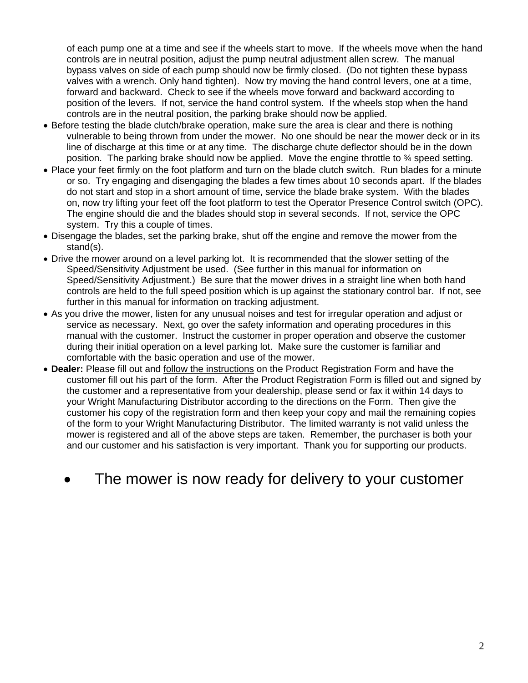of each pump one at a time and see if the wheels start to move. If the wheels move when the hand controls are in neutral position, adjust the pump neutral adjustment allen screw. The manual bypass valves on side of each pump should now be firmly closed. (Do not tighten these bypass valves with a wrench. Only hand tighten). Now try moving the hand control levers, one at a time, forward and backward. Check to see if the wheels move forward and backward according to position of the levers. If not, service the hand control system. If the wheels stop when the hand controls are in the neutral position, the parking brake should now be applied.

- Before testing the blade clutch/brake operation, make sure the area is clear and there is nothing vulnerable to being thrown from under the mower. No one should be near the mower deck or in its line of discharge at this time or at any time. The discharge chute deflector should be in the down position. The parking brake should now be applied. Move the engine throttle to ¾ speed setting.
- Place your feet firmly on the foot platform and turn on the blade clutch switch. Run blades for a minute or so. Try engaging and disengaging the blades a few times about 10 seconds apart. If the blades do not start and stop in a short amount of time, service the blade brake system. With the blades on, now try lifting your feet off the foot platform to test the Operator Presence Control switch (OPC). The engine should die and the blades should stop in several seconds. If not, service the OPC system. Try this a couple of times.
- Disengage the blades, set the parking brake, shut off the engine and remove the mower from the stand(s).
- Drive the mower around on a level parking lot. It is recommended that the slower setting of the Speed/Sensitivity Adjustment be used. (See further in this manual for information on Speed/Sensitivity Adjustment.) Be sure that the mower drives in a straight line when both hand controls are held to the full speed position which is up against the stationary control bar. If not, see further in this manual for information on tracking adjustment.
- As you drive the mower, listen for any unusual noises and test for irregular operation and adjust or service as necessary. Next, go over the safety information and operating procedures in this manual with the customer. Instruct the customer in proper operation and observe the customer during their initial operation on a level parking lot. Make sure the customer is familiar and comfortable with the basic operation and use of the mower.
- **Dealer:** Please fill out and follow the instructions on the Product Registration Form and have the customer fill out his part of the form. After the Product Registration Form is filled out and signed by the customer and a representative from your dealership, please send or fax it within 14 days to your Wright Manufacturing Distributor according to the directions on the Form. Then give the customer his copy of the registration form and then keep your copy and mail the remaining copies of the form to your Wright Manufacturing Distributor. The limited warranty is not valid unless the mower is registered and all of the above steps are taken. Remember, the purchaser is both your and our customer and his satisfaction is very important. Thank you for supporting our products.
	- The mower is now ready for delivery to your customer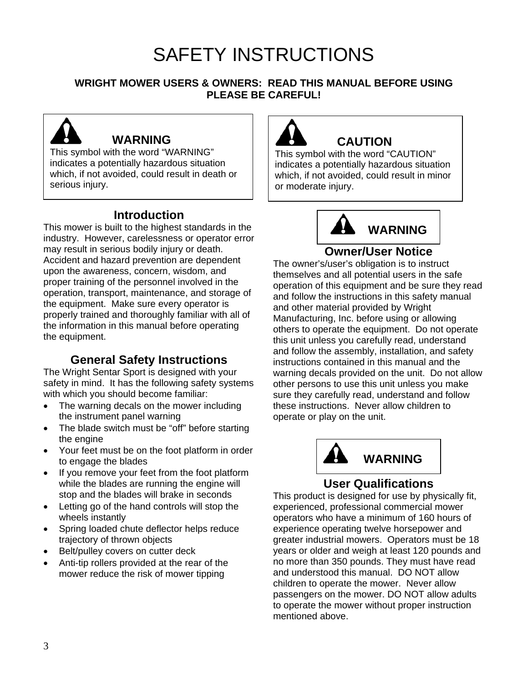# SAFETY INSTRUCTIONS

### <span id="page-5-0"></span>**WRIGHT MOWER USERS & OWNERS: READ THIS MANUAL BEFORE USING PLEASE BE CAREFUL!**



## **WARNING**

This symbol with the word "WARNING" indicates a potentially hazardous situation which, if not avoided, could result in death or serious injury.

## **Introduction**

This mower is built to the highest standards in the industry. However, carelessness or operator error may result in serious bodily injury or death. Accident and hazard prevention are dependent upon the awareness, concern, wisdom, and proper training of the personnel involved in the operation, transport, maintenance, and storage of the equipment. Make sure every operator is properly trained and thoroughly familiar with all of the information in this manual before operating the equipment.

## **General Safety Instructions**

The Wright Sentar Sport is designed with your safety in mind. It has the following safety systems with which you should become familiar:

- The warning decals on the mower including the instrument panel warning
- The blade switch must be "off" before starting the engine
- Your feet must be on the foot platform in order to engage the blades
- If you remove your feet from the foot platform while the blades are running the engine will stop and the blades will brake in seconds
- Letting go of the hand controls will stop the wheels instantly
- Spring loaded chute deflector helps reduce trajectory of thrown objects
- Belt/pulley covers on cutter deck
- Anti-tip rollers provided at the rear of the mower reduce the risk of mower tipping



## **CAUTION**

This symbol with the word "CAUTION" indicates a potentially hazardous situation which, if not avoided, could result in minor or moderate injury.



### **Owner/User Notice**

The owner's/user's obligation is to instruct themselves and all potential users in the safe operation of this equipment and be sure they read and follow the instructions in this safety manual and other material provided by Wright Manufacturing, Inc. before using or allowing others to operate the equipment. Do not operate this unit unless you carefully read, understand and follow the assembly, installation, and safety instructions contained in this manual and the warning decals provided on the unit. Do not allow other persons to use this unit unless you make sure they carefully read, understand and follow these instructions. Never allow children to operate or play on the unit.



## **User Qualifications**

This product is designed for use by physically fit, experienced, professional commercial mower operators who have a minimum of 160 hours of experience operating twelve horsepower and greater industrial mowers. Operators must be 18 years or older and weigh at least 120 pounds and no more than 350 pounds. They must have read and understood this manual. DO NOT allow children to operate the mower. Never allow passengers on the mower. DO NOT allow adults to operate the mower without proper instruction mentioned above.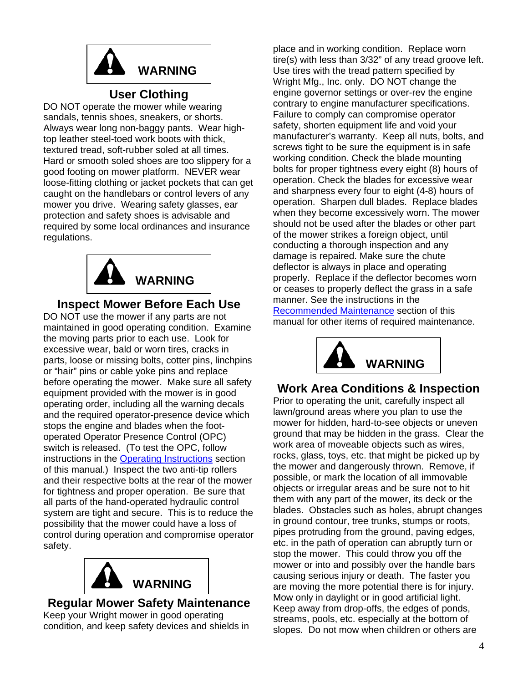<span id="page-6-0"></span>

## **User Clothing**

DO NOT operate the mower while wearing sandals, tennis shoes, sneakers, or shorts. Always wear long non-baggy pants. Wear hightop leather steel-toed work boots with thick, textured tread, soft-rubber soled at all times. Hard or smooth soled shoes are too slippery for a good footing on mower platform. NEVER wear loose-fitting clothing or jacket pockets that can get caught on the handlebars or control levers of any mower you drive. Wearing safety glasses, ear protection and safety shoes is advisable and required by some local ordinances and insurance regulations.



## **Inspect Mower Before Each Use**

DO NOT use the mower if any parts are not maintained in good operating condition. Examine the moving parts prior to each use. Look for excessive wear, bald or worn tires, cracks in parts, loose or missing bolts, cotter pins, linchpins or "hair" pins or cable yoke pins and replace before operating the mower. Make sure all safety equipment provided with the mower is in good operating order, including all the warning decals and the required operator-presence device which stops the engine and blades when the footoperated Operator Presence Control (OPC) switch is released. (To test the OPC, follow instructions in the [Operating Instructions](#page-10-0) section of this manual.) Inspect the two anti-tip rollers and their respective bolts at the rear of the mower for tightness and proper operation. Be sure that all parts of the hand-operated hydraulic control system are tight and secure. This is to reduce the possibility that the mower could have a loss of control during operation and compromise operator safety.



#### **Regular Mower Safety Maintenance**  Keep your Wright mower in good operating condition, and keep safety devices and shields in

place and in working condition. Replace worn tire(s) with less than 3/32" of any tread groove left. Use tires with the tread pattern specified by Wright Mfg., Inc. only. DO NOT change the engine governor settings or over-rev the engine contrary to engine manufacturer specifications. Failure to comply can compromise operator safety, shorten equipment life and void your manufacturer's warranty. Keep all nuts, bolts, and screws tight to be sure the equipment is in safe working condition. Check the blade mounting bolts for proper tightness every eight (8) hours of operation. Check the blades for excessive wear and sharpness every four to eight (4-8) hours of operation. Sharpen dull blades. Replace blades when they become excessively worn. The mower should not be used after the blades or other part of the mower strikes a foreign object, until conducting a thorough inspection and any damage is repaired. Make sure the chute deflector is always in place and operating properly. Replace if the deflector becomes worn or ceases to properly deflect the grass in a safe manner. See the instructions in the [Recommended Maintenance](#page-15-0) section of this manual for other items of required maintenance.



## **Work Area Conditions & Inspection**

Prior to operating the unit, carefully inspect all lawn/ground areas where you plan to use the mower for hidden, hard-to-see objects or uneven ground that may be hidden in the grass. Clear the work area of moveable objects such as wires, rocks, glass, toys, etc. that might be picked up by the mower and dangerously thrown. Remove, if possible, or mark the location of all immovable objects or irregular areas and be sure not to hit them with any part of the mower, its deck or the blades. Obstacles such as holes, abrupt changes in ground contour, tree trunks, stumps or roots, pipes protruding from the ground, paving edges, etc. in the path of operation can abruptly turn or stop the mower. This could throw you off the mower or into and possibly over the handle bars causing serious injury or death. The faster you are moving the more potential there is for injury. Mow only in daylight or in good artificial light. Keep away from drop-offs, the edges of ponds, streams, pools, etc. especially at the bottom of slopes. Do not mow when children or others are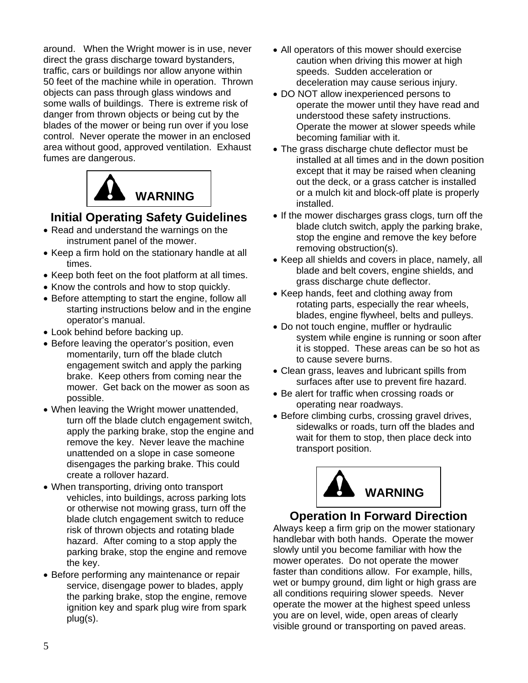<span id="page-7-0"></span>around. When the Wright mower is in use, never direct the grass discharge toward bystanders, traffic, cars or buildings nor allow anyone within 50 feet of the machine while in operation. Thrown objects can pass through glass windows and some walls of buildings. There is extreme risk of danger from thrown objects or being cut by the blades of the mower or being run over if you lose control. Never operate the mower in an enclosed area without good, approved ventilation. Exhaust fumes are dangerous.



## **Initial Operating Safety Guidelines**

- Read and understand the warnings on the instrument panel of the mower.
- Keep a firm hold on the stationary handle at all times.
- Keep both feet on the foot platform at all times.
- Know the controls and how to stop quickly.
- Before attempting to start the engine, follow all starting instructions below and in the engine operator's manual.
- Look behind before backing up.
- Before leaving the operator's position, even momentarily, turn off the blade clutch engagement switch and apply the parking brake. Keep others from coming near the mower. Get back on the mower as soon as possible.
- When leaving the Wright mower unattended, turn off the blade clutch engagement switch, apply the parking brake, stop the engine and remove the key. Never leave the machine unattended on a slope in case someone disengages the parking brake. This could create a rollover hazard.
- When transporting, driving onto transport vehicles, into buildings, across parking lots or otherwise not mowing grass, turn off the blade clutch engagement switch to reduce risk of thrown objects and rotating blade hazard. After coming to a stop apply the parking brake, stop the engine and remove the key.
- Before performing any maintenance or repair service, disengage power to blades, apply the parking brake, stop the engine, remove ignition key and spark plug wire from spark plug(s).
- All operators of this mower should exercise caution when driving this mower at high speeds. Sudden acceleration or deceleration may cause serious injury.
- DO NOT allow inexperienced persons to operate the mower until they have read and understood these safety instructions. Operate the mower at slower speeds while becoming familiar with it.
- The grass discharge chute deflector must be installed at all times and in the down position except that it may be raised when cleaning out the deck, or a grass catcher is installed or a mulch kit and block-off plate is properly
- If the mower discharges grass clogs, turn off the blade clutch switch, apply the parking brake, stop the engine and remove the key before removing obstruction(s).
- Keep all shields and covers in place, namely, all blade and belt covers, engine shields, and grass discharge chute deflector.
- Keep hands, feet and clothing away from rotating parts, especially the rear wheels, blades, engine flywheel, belts and pulleys.
- Do not touch engine, muffler or hydraulic system while engine is running or soon after it is stopped. These areas can be so hot as to cause severe burns.
- Clean grass, leaves and lubricant spills from surfaces after use to prevent fire hazard.
- Be alert for traffic when crossing roads or operating near roadways.
- Before climbing curbs, crossing gravel drives, sidewalks or roads, turn off the blades and wait for them to stop, then place deck into transport position.



## **Operation In Forward Direction**

Always keep a firm grip on the mower stationary handlebar with both hands. Operate the mower slowly until you become familiar with how the mower operates. Do not operate the mower faster than conditions allow. For example, hills, wet or bumpy ground, dim light or high grass are all conditions requiring slower speeds. Never operate the mower at the highest speed unless you are on level, wide, open areas of clearly visible ground or transporting on paved areas.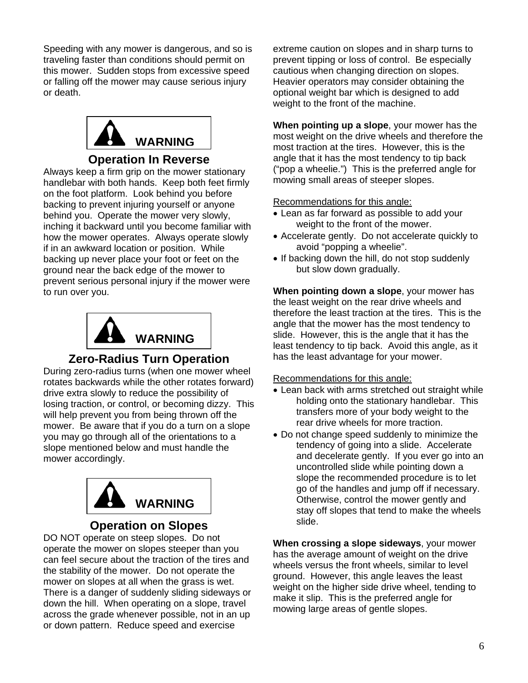<span id="page-8-0"></span>Speeding with any mower is dangerous, and so is traveling faster than conditions should permit on this mower. Sudden stops from excessive speed or falling off the mower may cause serious injury or death.



### **Operation In Reverse**

Always keep a firm grip on the mower stationary handlebar with both hands. Keep both feet firmly on the foot platform. Look behind you before backing to prevent injuring yourself or anyone behind you. Operate the mower very slowly, inching it backward until you become familiar with how the mower operates. Always operate slowly if in an awkward location or position. While backing up never place your foot or feet on the ground near the back edge of the mower to prevent serious personal injury if the mower were to run over you.



## **Zero-Radius Turn Operation**

During zero-radius turns (when one mower wheel rotates backwards while the other rotates forward) drive extra slowly to reduce the possibility of losing traction, or control, or becoming dizzy. This will help prevent you from being thrown off the mower. Be aware that if you do a turn on a slope you may go through all of the orientations to a slope mentioned below and must handle the mower accordingly.



#### **Operation on Slopes**

DO NOT operate on steep slopes. Do not operate the mower on slopes steeper than you can feel secure about the traction of the tires and the stability of the mower. Do not operate the mower on slopes at all when the grass is wet. There is a danger of suddenly sliding sideways or down the hill. When operating on a slope, travel across the grade whenever possible, not in an up or down pattern. Reduce speed and exercise

extreme caution on slopes and in sharp turns to prevent tipping or loss of control. Be especially cautious when changing direction on slopes. Heavier operators may consider obtaining the optional weight bar which is designed to add weight to the front of the machine.

**When pointing up a slope**, your mower has the most weight on the drive wheels and therefore the most traction at the tires. However, this is the angle that it has the most tendency to tip back ("pop a wheelie.") This is the preferred angle for mowing small areas of steeper slopes.

#### Recommendations for this angle:

- Lean as far forward as possible to add your weight to the front of the mower.
- Accelerate gently. Do not accelerate quickly to avoid "popping a wheelie".
- If backing down the hill, do not stop suddenly but slow down gradually.

**When pointing down a slope**, your mower has the least weight on the rear drive wheels and therefore the least traction at the tires. This is the angle that the mower has the most tendency to slide. However, this is the angle that it has the least tendency to tip back. Avoid this angle, as it has the least advantage for your mower.

#### Recommendations for this angle:

- Lean back with arms stretched out straight while holding onto the stationary handlebar. This transfers more of your body weight to the rear drive wheels for more traction.
- Do not change speed suddenly to minimize the tendency of going into a slide. Accelerate and decelerate gently. If you ever go into an uncontrolled slide while pointing down a slope the recommended procedure is to let go of the handles and jump off if necessary. Otherwise, control the mower gently and stay off slopes that tend to make the wheels slide.

**When crossing a slope sideways**, your mower has the average amount of weight on the drive wheels versus the front wheels, similar to level ground. However, this angle leaves the least weight on the higher side drive wheel, tending to make it slip. This is the preferred angle for mowing large areas of gentle slopes.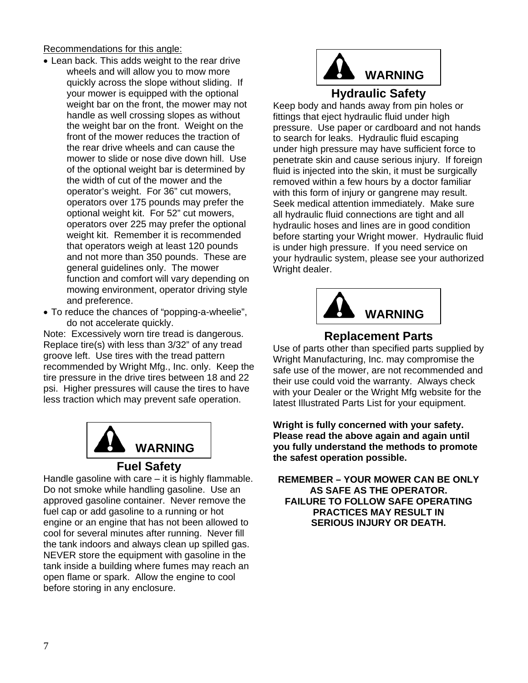<span id="page-9-0"></span>Recommendations for this angle:

- Lean back. This adds weight to the rear drive wheels and will allow you to mow more quickly across the slope without sliding. If your mower is equipped with the optional weight bar on the front, the mower may not handle as well crossing slopes as without the weight bar on the front. Weight on the front of the mower reduces the traction of the rear drive wheels and can cause the mower to slide or nose dive down hill. Use of the optional weight bar is determined by the width of cut of the mower and the operator's weight. For 36" cut mowers, operators over 175 pounds may prefer the optional weight kit. For 52" cut mowers, operators over 225 may prefer the optional weight kit. Remember it is recommended that operators weigh at least 120 pounds and not more than 350 pounds. These are general guidelines only. The mower function and comfort will vary depending on mowing environment, operator driving style and preference.
- To reduce the chances of "popping-a-wheelie", do not accelerate quickly.

Note: Excessively worn tire tread is dangerous. Replace tire(s) with less than 3/32" of any tread groove left. Use tires with the tread pattern recommended by Wright Mfg., Inc. only. Keep the tire pressure in the drive tires between 18 and 22 psi. Higher pressures will cause the tires to have less traction which may prevent safe operation.



#### **Fuel Safety**

Handle gasoline with care – it is highly flammable. Do not smoke while handling gasoline. Use an approved gasoline container. Never remove the fuel cap or add gasoline to a running or hot engine or an engine that has not been allowed to cool for several minutes after running. Never fill the tank indoors and always clean up spilled gas. NEVER store the equipment with gasoline in the tank inside a building where fumes may reach an open flame or spark. Allow the engine to cool before storing in any enclosure.



## **Hydraulic Safety**

Keep body and hands away from pin holes or pressure. Use paper or cardboard and not hands under high pressure may have sufficient force to before starting your Wright mower. Hydraulic fluid your hydraulic system, please see your authorized fittings that eject hydraulic fluid under high to search for leaks. Hydraulic fluid escaping penetrate skin and cause serious injury. If foreign fluid is injected into the skin, it must be surgically removed within a few hours by a doctor familiar with this form of injury or gangrene may result. Seek medical attention immediately. Make sure all hydraulic fluid connections are tight and all hydraulic hoses and lines are in good condition is under high pressure. If you need service on Wright dealer.



## **Replacement Parts**

Use of parts other than specified parts supplied by Wright Manufacturing, Inc. may compromise the safe use of the mower, are not recommended and their use could void the warranty. Always check with your Dealer or the Wright Mfg website for the latest Illustrated Parts List for your equipment.

**right is fully concerned with your safety. W Please read the above again and again until you fully understand the methods to promote the safest operation possible.** 

**REMEMBER – YOUR MOWER CAN BE ONLY FAILURE TO FOLLOW SAFE OPERATING AS SAFE AS THE OPERATOR. PRACTICES MAY RESULT IN SERIOUS INJURY OR DEATH.**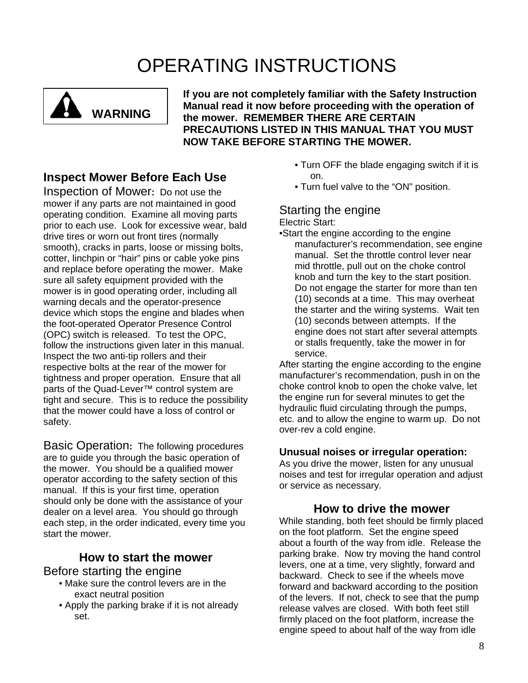# OPERATING INSTRUCTIONS

<span id="page-10-0"></span>

**If you are not completely familiar with the Safety Instruction Manual read it now before proceeding with the operation of the mower. REMEMBER THERE ARE CERTAIN PRECAUTIONS LISTED IN THIS MANUAL THAT YOU MUST NOW TAKE BEFORE STARTING THE MOWER.** 

## **Inspect Mower Before Each Use**

Inspection of Mower**:** Do not use the mower if any parts are not maintained in good operating condition. Examine all moving parts prior to each use. Look for excessive wear, bald drive tires or worn out front tires (normally smooth), cracks in parts, loose or missing bolts, cotter, linchpin or "hair" pins or cable yoke pins and replace before operating the mower. Make sure all safety equipment provided with the mower is in good operating order, including all warning decals and the operator-presence device which stops the engine and blades when the foot-operated Operator Presence Control (OPC) switch is released. To test the OPC, follow the instructions given later in this manual. Inspect the two anti-tip rollers and their respective bolts at the rear of the mower for tightness and proper operation. Ensure that all parts of the Quad-Lever™ control system are tight and secure. This is to reduce the possibility that the mower could have a loss of control or safety.

Basic Operation**:** The following procedures are to guide you through the basic operation of the mower. You should be a qualified mower operator according to the safety section of this manual. If this is your first time, operation should only be done with the assistance of your dealer on a level area. You should go through each step, in the order indicated, every time you start the mower.

## **How to start the mower**

#### Before starting the engine

- Make sure the control levers are in the exact neutral position
- Apply the parking brake if it is not already set.
- Turn OFF the blade engaging switch if it is on.
- Turn fuel valve to the "ON" position.

## Starting the engine

Electric Start:

•Start the engine according to the engine manufacturer's recommendation, see engine manual. Set the throttle control lever near mid throttle, pull out on the choke control knob and turn the key to the start position. Do not engage the starter for more than ten (10) seconds at a time. This may overheat the starter and the wiring systems. Wait ten (10) seconds between attempts. If the engine does not start after several attempts or stalls frequently, take the mower in for service.

After starting the engine according to the engine manufacturer's recommendation, push in on the choke control knob to open the choke valve, let the engine run for several minutes to get the hydraulic fluid circulating through the pumps, etc. and to allow the engine to warm up. Do not over-rev a cold engine.

#### **Unusual noises or irregular operation:**

As you drive the mower, listen for any unusual noises and test for irregular operation and adjust or service as necessary.

## **How to drive the mower**

While standing, both feet should be firmly placed on the foot platform. Set the engine speed about a fourth of the way from idle. Release the parking brake. Now try moving the hand control levers, one at a time, very slightly, forward and backward. Check to see if the wheels move forward and backward according to the position of the levers. If not, check to see that the pump release valves are closed. With both feet still firmly placed on the foot platform, increase the engine speed to about half of the way from idle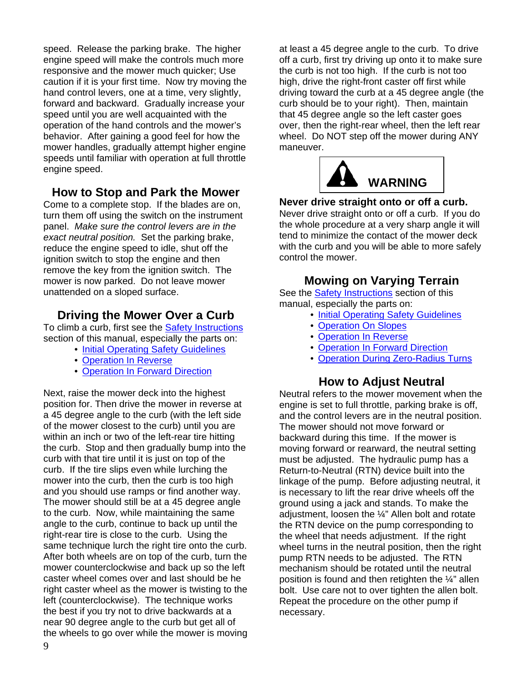<span id="page-11-0"></span>speed. Release the parking brake. The higher engine speed will make the controls much more responsive and the mower much quicker; Use caution if it is your first time. Now try moving the hand control levers, one at a time, very slightly, forward and backward. Gradually increase your speed until you are well acquainted with the operation of the hand controls and the mower's behavior. After gaining a good feel for how the mower handles, gradually attempt higher engine speeds until familiar with operation at full throttle engine speed.

## **How to Stop and Park the Mower**

Come to a complete stop. If the blades are on, turn them off using the switch on the instrument panel. *Make sure the control levers are in the exact neutral position.* Set the parking brake, reduce the engine speed to idle, shut off the ignition switch to stop the engine and then remove the key from the ignition switch. The mower is now parked. Do not leave mower unattended on a sloped surface.

## **Driving the Mower Over a Curb**

To climb a curb, first see the [Safety Instructions](#page-5-0) section of this manual, especially the parts on:

- [Initial Operating Safety Guidelines](#page-7-0)
- [Operation In Reverse](#page-8-0)
- [Operation In Forward Direction](#page-7-0)

Next, raise the mower deck into the highest position for. Then drive the mower in reverse at a 45 degree angle to the curb (with the left side of the mower closest to the curb) until you are within an inch or two of the left-rear tire hitting the curb. Stop and then gradually bump into the curb with that tire until it is just on top of the curb. If the tire slips even while lurching the mower into the curb, then the curb is too high and you should use ramps or find another way. The mower should still be at a 45 degree angle to the curb. Now, while maintaining the same angle to the curb, continue to back up until the right-rear tire is close to the curb. Using the same technique lurch the right tire onto the curb. After both wheels are on top of the curb, turn the mower counterclockwise and back up so the left caster wheel comes over and last should be he right caster wheel as the mower is twisting to the left (counterclockwise). The technique works the best if you try not to drive backwards at a near 90 degree angle to the curb but get all of the wheels to go over while the mower is moving

at least a 45 degree angle to the curb. To drive off a curb, first try driving up onto it to make sure the curb is not too high. If the curb is not too high, drive the right-front caster off first while driving toward the curb at a 45 degree angle (the curb should be to your right). Then, maintain that 45 degree angle so the left caster goes over, then the right-rear wheel, then the left rear wheel. Do NOT step off the mower during ANY maneuver.



#### **Never drive straight onto or off a curb.**

Never drive straight onto or off a curb. If you do the whole procedure at a very sharp angle it will tend to minimize the contact of the mower deck with the curb and you will be able to more safely control the mower.

## **Mowing on Varying Terrain**

See the [Safety Instructions](#page-5-0) section of this manual, especially the parts on:

- [Initial Operating Safety Guidelines](#page-7-0)
- [Operation On Slopes](#page-8-0)
- [Operation In Reverse](#page-8-0)
- [Operation In Forward Direction](#page-7-0)
- [Operation During Zero-Radius Turns](#page-8-0)

#### **How to Adjust Neutral**

Neutral refers to the mower movement when the engine is set to full throttle, parking brake is off, and the control levers are in the neutral position. The mower should not move forward or backward during this time. If the mower is moving forward or rearward, the neutral setting must be adjusted. The hydraulic pump has a Return-to-Neutral (RTN) device built into the linkage of the pump. Before adjusting neutral, it is necessary to lift the rear drive wheels off the ground using a jack and stands. To make the adjustment, loosen the ¼" Allen bolt and rotate the RTN device on the pump corresponding to the wheel that needs adjustment. If the right wheel turns in the neutral position, then the right pump RTN needs to be adjusted. The RTN mechanism should be rotated until the neutral position is found and then retighten the  $\frac{1}{4}$ " allen bolt. Use care not to over tighten the allen bolt. Repeat the procedure on the other pump if necessary.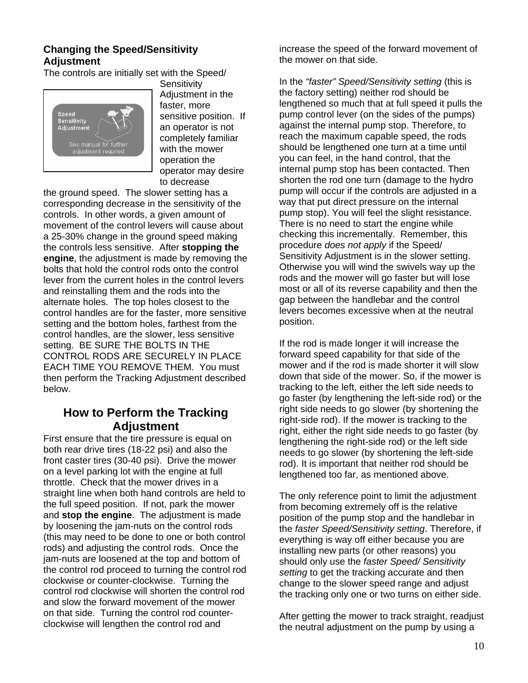#### <span id="page-12-0"></span>**Changing the Speed/Sensitivity Adjustment**

The controls are initially set with the Speed/



**Sensitivity** Adjustment in the faster, more sensitive position. If an operator is not completely familiar with the mower operation the operator may desire to decrease

the ground speed. The slower setting has a corresponding decrease in the sensitivity of the controls. In other words, a given amount of movement of the control levers will cause about a 25-30% change in the ground speed making the controls less sensitive. After **stopping the engine**, the adjustment is made by removing the bolts that hold the control rods onto the control lever from the current holes in the control levers and reinstalling them and the rods into the alternate holes. The top holes closest to the control handles are for the faster, more sensitive setting and the bottom holes, farthest from the control handles, are the slower, less sensitive setting. BE SURE THE BOLTS IN THE CONTROL RODS ARE SECURELY IN PLACE EACH TIME YOU REMOVE THEM. You must then perform the Tracking Adjustment described below.

## **How to Perform the Tracking Adjustment**

First ensure that the tire pressure is equal on both rear drive tires (18-22 psi) and also the front caster tires (30-40 psi). Drive the mower on a level parking lot with the engine at full throttle. Check that the mower drives in a straight line when both hand controls are held to the full speed position. If not, park the mower and **stop the engine**. The adjustment is made by loosening the jam-nuts on the control rods (this may need to be done to one or both control rods) and adjusting the control rods. Once the jam-nuts are loosened at the top and bottom of the control rod proceed to turning the control rod clockwise or counter-clockwise. Turning the control rod clockwise will shorten the control rod and slow the forward movement of the mower on that side. Turning the control rod counterclockwise will lengthen the control rod and

increase the speed of the forward movement of the mower on that side.

In the *"faster" Speed/Sensitivity setting* (this is the factory setting) neither rod should be lengthened so much that at full speed it pulls the pump control lever (on the sides of the pumps) against the internal pump stop. Therefore, to reach the maximum capable speed, the rods should be lengthened one turn at a time until you can feel, in the hand control, that the internal pump stop has been contacted. Then shorten the rod one turn (damage to the hydro pump will occur if the controls are adjusted in a way that put direct pressure on the internal pump stop). You will feel the slight resistance. There is no need to start the engine while checking this incrementally. Remember, this procedure *does not apply* if the Speed/ Sensitivity Adjustment is in the slower setting. Otherwise you will wind the swivels way up the rods and the mower will go faster but will lose most or all of its reverse capability and then the gap between the handlebar and the control levers becomes excessive when at the neutral position.

If the rod is made longer it will increase the forward speed capability for that side of the mower and if the rod is made shorter it will slow down that side of the mower. So, if the mower is tracking to the left, either the left side needs to go faster (by lengthening the left-side rod) or the right side needs to go slower (by shortening the right-side rod). If the mower is tracking to the right, either the right side needs to go faster (by lengthening the right-side rod) or the left side needs to go slower (by shortening the left-side rod). It is important that neither rod should be lengthened too far, as mentioned above.

The only reference point to limit the adjustment from becoming extremely off is the relative position of the pump stop and the handlebar in the *faster Speed/Sensitivity setting*. Therefore, if everything is way off either because you are installing new parts (or other reasons) you should only use the *faster Speed/ Sensitivity setting* to get the tracking accurate and then change to the slower speed range and adjust the tracking only one or two turns on either side.

After getting the mower to track straight, readjust the neutral adjustment on the pump by using a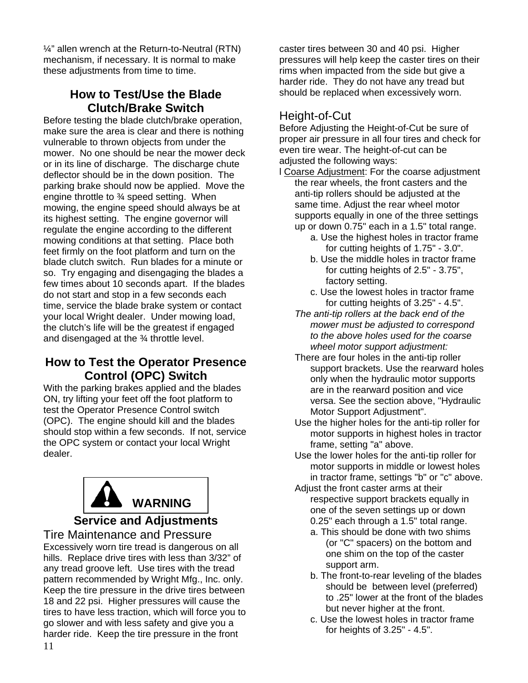<span id="page-13-0"></span>¼" allen wrench at the Return-to-Neutral (RTN) mechanism, if necessary. It is normal to make these adjustments from time to time.

## **How to Test/Use the Blade Clutch/Brake Switch**

Before testing the blade clutch/brake operation, make sure the area is clear and there is nothing vulnerable to thrown objects from under the mower. No one should be near the mower deck or in its line of discharge. The discharge chute deflector should be in the down position. The parking brake should now be applied. Move the engine throttle to ¾ speed setting. When mowing, the engine speed should always be at its highest setting. The engine governor will regulate the engine according to the different mowing conditions at that setting. Place both feet firmly on the foot platform and turn on the blade clutch switch. Run blades for a minute or so. Try engaging and disengaging the blades a few times about 10 seconds apart. If the blades do not start and stop in a few seconds each time, service the blade brake system or contact your local Wright dealer. Under mowing load, the clutch's life will be the greatest if engaged and disengaged at the ¾ throttle level.

## **How to Test the Operator Presence Control (OPC) Switch**

With the parking brakes applied and the blades ON, try lifting your feet off the foot platform to test the Operator Presence Control switch (OPC). The engine should kill and the blades should stop within a few seconds. If not, service the OPC system or contact your local Wright dealer.



## **Service and Adjustments**

Tire Maintenance and Pressure Excessively worn tire tread is dangerous on all hills. Replace drive tires with less than 3/32" of any tread groove left. Use tires with the tread pattern recommended by Wright Mfg., Inc. only. Keep the tire pressure in the drive tires between 18 and 22 psi. Higher pressures will cause the tires to have less traction, which will force you to go slower and with less safety and give you a harder ride. Keep the tire pressure in the front

caster tires between 30 and 40 psi. Higher pressures will help keep the caster tires on their rims when impacted from the side but give a harder ride. They do not have any tread but should be replaced when excessively worn.

## Height-of-Cut

Before Adjusting the Height-of-Cut be sure of proper air pressure in all four tires and check for even tire wear. The height-of-cut can be adjusted the following ways:

- l Coarse Adjustment: For the coarse adjustment the rear wheels, the front casters and the anti-tip rollers should be adjusted at the same time. Adjust the rear wheel motor supports equally in one of the three settings up or down 0.75" each in a 1.5" total range.
	- a. Use the highest holes in tractor frame for cutting heights of 1.75" - 3.0".
	- b. Use the middle holes in tractor frame for cutting heights of 2.5" - 3.75", factory setting.
	- c. Use the lowest holes in tractor frame for cutting heights of 3.25" - 4.5".
	- *The anti-tip rollers at the back end of the mower must be adjusted to correspond to the above holes used for the coarse wheel motor support adjustment:*
	- There are four holes in the anti-tip roller support brackets. Use the rearward holes only when the hydraulic motor supports are in the rearward position and vice versa. See the section above, "Hydraulic Motor Support Adjustment".
	- Use the higher holes for the anti-tip roller for motor supports in highest holes in tractor frame, setting "a" above.
	- Use the lower holes for the anti-tip roller for motor supports in middle or lowest holes in tractor frame, settings "b" or "c" above.
	- Adjust the front caster arms at their respective support brackets equally in one of the seven settings up or down 0.25" each through a 1.5" total range.
		- a. This should be done with two shims (or "C" spacers) on the bottom and one shim on the top of the caster support arm.
		- b. The front-to-rear leveling of the blades should be between level (preferred) to .25" lower at the front of the blades but never higher at the front.
		- c. Use the lowest holes in tractor frame for heights of 3.25" - 4.5".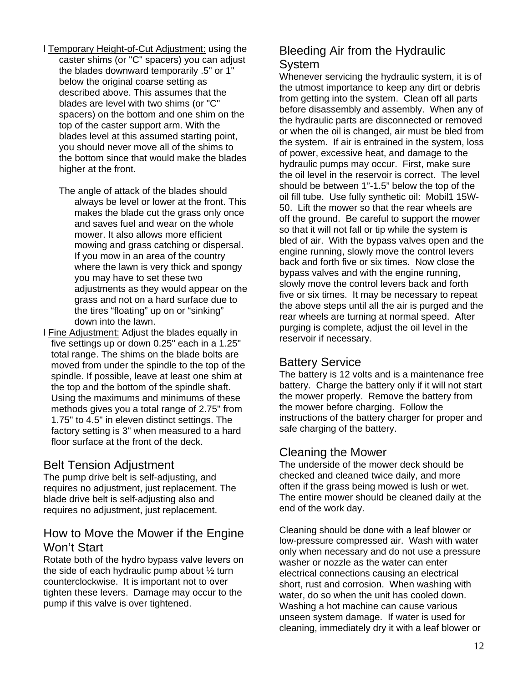- <span id="page-14-0"></span>l Temporary Height-of-Cut Adjustment: using the caster shims (or "C" spacers) you can adjust the blades downward temporarily .5" or 1" below the original coarse setting as described above. This assumes that the blades are level with two shims (or "C" spacers) on the bottom and one shim on the top of the caster support arm. With the blades level at this assumed starting point, you should never move all of the shims to the bottom since that would make the blades higher at the front.
	- The angle of attack of the blades should always be level or lower at the front. This makes the blade cut the grass only once and saves fuel and wear on the whole mower. It also allows more efficient mowing and grass catching or dispersal. If you mow in an area of the country where the lawn is very thick and spongy you may have to set these two adjustments as they would appear on the grass and not on a hard surface due to the tires "floating" up on or "sinking" down into the lawn.
- l Fine Adjustment: Adjust the blades equally in five settings up or down 0.25" each in a 1.25" total range. The shims on the blade bolts are moved from under the spindle to the top of the spindle. If possible, leave at least one shim at the top and the bottom of the spindle shaft. Using the maximums and minimums of these methods gives you a total range of 2.75" from 1.75" to 4.5" in eleven distinct settings. The factory setting is 3" when measured to a hard floor surface at the front of the deck.

## Belt Tension Adjustment

The pump drive belt is self-adjusting, and requires no adjustment, just replacement. The blade drive belt is self-adjusting also and requires no adjustment, just replacement.

## How to Move the Mower if the Engine Won't Start

Rotate both of the hydro bypass valve levers on the side of each hydraulic pump about ½ turn counterclockwise. It is important not to over tighten these levers. Damage may occur to the pump if this valve is over tightened.

## Bleeding Air from the Hydraulic System

Whenever servicing the hydraulic system, it is of the utmost importance to keep any dirt or debris from getting into the system. Clean off all parts before disassembly and assembly. When any of the hydraulic parts are disconnected or removed or when the oil is changed, air must be bled from the system. If air is entrained in the system, loss of power, excessive heat, and damage to the hydraulic pumps may occur. First, make sure the oil level in the reservoir is correct. The level should be between 1"-1.5" below the top of the oil fill tube. Use fully synthetic oil: Mobil1 15W-50. Lift the mower so that the rear wheels are off the ground. Be careful to support the mower so that it will not fall or tip while the system is bled of air. With the bypass valves open and the engine running, slowly move the control levers back and forth five or six times. Now close the bypass valves and with the engine running, slowly move the control levers back and forth five or six times. It may be necessary to repeat the above steps until all the air is purged and the rear wheels are turning at normal speed. After purging is complete, adjust the oil level in the reservoir if necessary.

## Battery Service

The battery is 12 volts and is a maintenance free battery. Charge the battery only if it will not start the mower properly. Remove the battery from the mower before charging. Follow the instructions of the battery charger for proper and safe charging of the battery.

## Cleaning the Mower

The underside of the mower deck should be checked and cleaned twice daily, and more often if the grass being mowed is lush or wet. The entire mower should be cleaned daily at the end of the work day.

Cleaning should be done with a leaf blower or low-pressure compressed air. Wash with water only when necessary and do not use a pressure washer or nozzle as the water can enter electrical connections causing an electrical short, rust and corrosion. When washing with water, do so when the unit has cooled down. Washing a hot machine can cause various unseen system damage. If water is used for cleaning, immediately dry it with a leaf blower or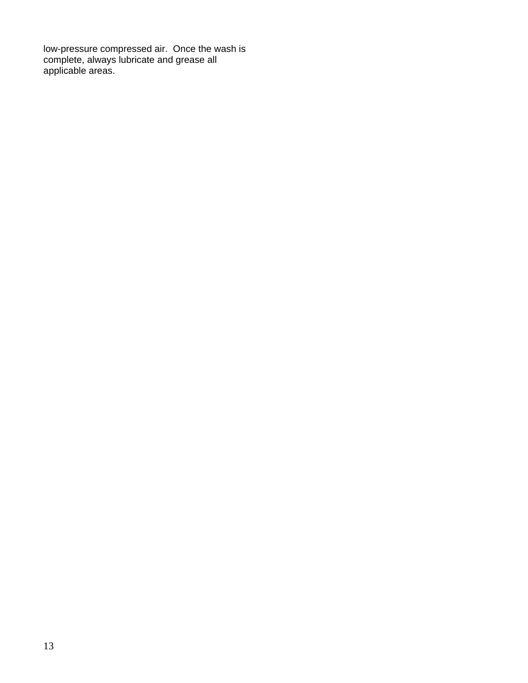<span id="page-15-0"></span>low-pressure compressed air. Once the wash is complete, always lubricate and grease all applicable areas.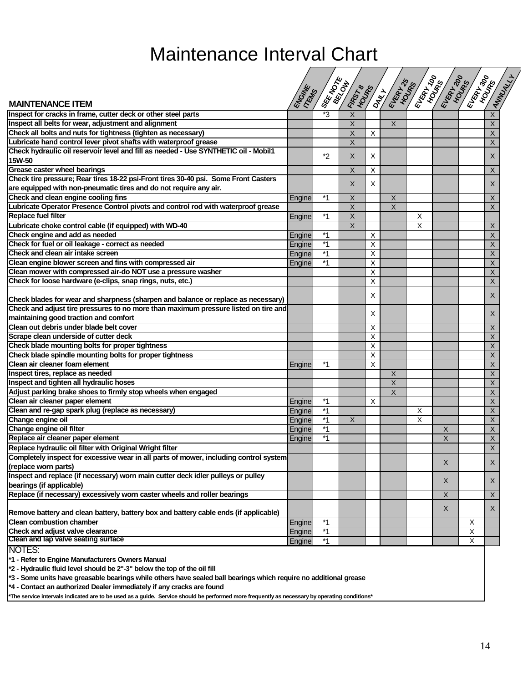# Maintenance Interval Chart

 $\sqrt{2}$ 

 $\sqrt{2}$ 

<span id="page-16-0"></span>

| SEE 100KE<br><b>SIR READANTS</b><br><b>CENTRAL READ</b><br>ENGINE<br>*3<br>X<br>$\overline{X}$<br>$\sf X$<br>$\sf X$<br>X<br>$\sf X$<br>X<br>X<br>$\times$<br>Check hydraulic oil reservoir level and fill as needed - Use SYNTHETIC oil - Mobil1<br>*2<br>X<br>X<br>X<br><b>Grease caster wheel bearings</b><br>X<br>X<br>X<br>Check tire pressure; Rear tires 18-22 psi-Front tires 30-40 psi. Some Front Casters<br>X<br>X<br>X<br>are equipped with non-pneumatic tires and do not require any air.<br>Check and clean engine cooling fins<br>$*1$<br>Engine<br>X<br>X<br>X<br>Lubricate Operator Presence Control pivots and control rod with waterproof grease<br>X<br>$\overline{\mathsf{x}}$<br>X<br><b>Replace fuel filter</b><br>$*1$<br>X<br>X<br>Engine<br>Lubricate choke control cable (if equipped) with WD-40<br>X<br>X<br>X<br>Check engine and add as needed<br>$*1$<br>$\sf X$<br>X<br>Engine<br>$^*1$<br>X<br>X<br>Engine<br>Check and clean air intake screen<br>X<br>Χ<br>Engine<br>Clean engine blower screen and fins with compressed air<br>$*1$<br>X<br>X<br>Engine<br>Clean mower with compressed air-do NOT use a pressure washer<br>X<br>X<br>$\times$<br>X<br>X<br>X<br>Check blades for wear and sharpness (sharpen and balance or replace as necessary)<br>Check and adjust tire pressures to no more than maximum pressure listed on tire and<br>X<br>X<br>maintaining good traction and comfort<br>Clean out debris under blade belt cover<br>X<br>X<br>Scrape clean underside of cutter deck<br>X<br>X<br>Check blade mounting bolts for proper tightness<br>X<br>X<br>Check blade spindle mounting bolts for proper tightness<br>X<br>X<br>Χ<br>$\sf X$<br>*1<br>Engine<br>Inspect tires, replace as needed<br>Χ<br>X<br>Inspect and tighten all hydraulic hoses<br>X<br>X<br>Adjust parking brake shoes to firmly stop wheels when engaged<br>Χ<br>Χ<br>Clean air cleaner paper element<br>X<br>*1<br>X<br>Engine<br>$*_{1}$<br>$\sf X$<br>Clean and re-gap spark plug (replace as necessary)<br>X<br>Engine<br>Change engine oil<br>X<br>X<br>X<br>Engine<br>Change engine oil filter<br>$*1$<br>X<br>X<br>Engine<br>Replace air cleaner paper element<br>*1<br>X<br>Engine<br>Χ<br>X<br>Replace hydraulic oil filter with Original Wright filter<br>Completely inspect for excessive wear in all parts of mower, including control system<br>Χ<br>X<br>(replace worn parts)<br>X<br>X<br>X<br>X<br>X<br>X<br>Remove battery and clean battery, battery box and battery cable ends (if applicable)<br><b>Clean combustion chamber</b><br>$*_{1}$<br>X<br>Engine<br>Check and adjust valve clearance<br>$*1$<br>Х<br>Engine<br>Clean and lap valve seating surface<br>Χ<br>$*1$<br>Engine |                                                                                  |  |  |  |  |  |
|--------------------------------------------------------------------------------------------------------------------------------------------------------------------------------------------------------------------------------------------------------------------------------------------------------------------------------------------------------------------------------------------------------------------------------------------------------------------------------------------------------------------------------------------------------------------------------------------------------------------------------------------------------------------------------------------------------------------------------------------------------------------------------------------------------------------------------------------------------------------------------------------------------------------------------------------------------------------------------------------------------------------------------------------------------------------------------------------------------------------------------------------------------------------------------------------------------------------------------------------------------------------------------------------------------------------------------------------------------------------------------------------------------------------------------------------------------------------------------------------------------------------------------------------------------------------------------------------------------------------------------------------------------------------------------------------------------------------------------------------------------------------------------------------------------------------------------------------------------------------------------------------------------------------------------------------------------------------------------------------------------------------------------------------------------------------------------------------------------------------------------------------------------------------------------------------------------------------------------------------------------------------------------------------------------------------------------------------------------------------------------------------------------------------------------------------------------------------------------------------------------------------------------------------------------------------------------------------------------------------------------------------------------------------------------------------------------------------------------|----------------------------------------------------------------------------------|--|--|--|--|--|
|                                                                                                                                                                                                                                                                                                                                                                                                                                                                                                                                                                                                                                                                                                                                                                                                                                                                                                                                                                                                                                                                                                                                                                                                                                                                                                                                                                                                                                                                                                                                                                                                                                                                                                                                                                                                                                                                                                                                                                                                                                                                                                                                                                                                                                                                                                                                                                                                                                                                                                                                                                                                                                                                                                                                |                                                                                  |  |  |  |  |  |
|                                                                                                                                                                                                                                                                                                                                                                                                                                                                                                                                                                                                                                                                                                                                                                                                                                                                                                                                                                                                                                                                                                                                                                                                                                                                                                                                                                                                                                                                                                                                                                                                                                                                                                                                                                                                                                                                                                                                                                                                                                                                                                                                                                                                                                                                                                                                                                                                                                                                                                                                                                                                                                                                                                                                | <b>MAINTENANCE ITEM</b>                                                          |  |  |  |  |  |
|                                                                                                                                                                                                                                                                                                                                                                                                                                                                                                                                                                                                                                                                                                                                                                                                                                                                                                                                                                                                                                                                                                                                                                                                                                                                                                                                                                                                                                                                                                                                                                                                                                                                                                                                                                                                                                                                                                                                                                                                                                                                                                                                                                                                                                                                                                                                                                                                                                                                                                                                                                                                                                                                                                                                | Inspect for cracks in frame, cutter deck or other steel parts                    |  |  |  |  |  |
|                                                                                                                                                                                                                                                                                                                                                                                                                                                                                                                                                                                                                                                                                                                                                                                                                                                                                                                                                                                                                                                                                                                                                                                                                                                                                                                                                                                                                                                                                                                                                                                                                                                                                                                                                                                                                                                                                                                                                                                                                                                                                                                                                                                                                                                                                                                                                                                                                                                                                                                                                                                                                                                                                                                                | Inspect all belts for wear, adjustment and alignment                             |  |  |  |  |  |
|                                                                                                                                                                                                                                                                                                                                                                                                                                                                                                                                                                                                                                                                                                                                                                                                                                                                                                                                                                                                                                                                                                                                                                                                                                                                                                                                                                                                                                                                                                                                                                                                                                                                                                                                                                                                                                                                                                                                                                                                                                                                                                                                                                                                                                                                                                                                                                                                                                                                                                                                                                                                                                                                                                                                | Check all bolts and nuts for tightness (tighten as necessary)                    |  |  |  |  |  |
|                                                                                                                                                                                                                                                                                                                                                                                                                                                                                                                                                                                                                                                                                                                                                                                                                                                                                                                                                                                                                                                                                                                                                                                                                                                                                                                                                                                                                                                                                                                                                                                                                                                                                                                                                                                                                                                                                                                                                                                                                                                                                                                                                                                                                                                                                                                                                                                                                                                                                                                                                                                                                                                                                                                                | Lubricate hand control lever pivot shafts with waterproof grease                 |  |  |  |  |  |
|                                                                                                                                                                                                                                                                                                                                                                                                                                                                                                                                                                                                                                                                                                                                                                                                                                                                                                                                                                                                                                                                                                                                                                                                                                                                                                                                                                                                                                                                                                                                                                                                                                                                                                                                                                                                                                                                                                                                                                                                                                                                                                                                                                                                                                                                                                                                                                                                                                                                                                                                                                                                                                                                                                                                |                                                                                  |  |  |  |  |  |
|                                                                                                                                                                                                                                                                                                                                                                                                                                                                                                                                                                                                                                                                                                                                                                                                                                                                                                                                                                                                                                                                                                                                                                                                                                                                                                                                                                                                                                                                                                                                                                                                                                                                                                                                                                                                                                                                                                                                                                                                                                                                                                                                                                                                                                                                                                                                                                                                                                                                                                                                                                                                                                                                                                                                | 15W-50                                                                           |  |  |  |  |  |
|                                                                                                                                                                                                                                                                                                                                                                                                                                                                                                                                                                                                                                                                                                                                                                                                                                                                                                                                                                                                                                                                                                                                                                                                                                                                                                                                                                                                                                                                                                                                                                                                                                                                                                                                                                                                                                                                                                                                                                                                                                                                                                                                                                                                                                                                                                                                                                                                                                                                                                                                                                                                                                                                                                                                |                                                                                  |  |  |  |  |  |
|                                                                                                                                                                                                                                                                                                                                                                                                                                                                                                                                                                                                                                                                                                                                                                                                                                                                                                                                                                                                                                                                                                                                                                                                                                                                                                                                                                                                                                                                                                                                                                                                                                                                                                                                                                                                                                                                                                                                                                                                                                                                                                                                                                                                                                                                                                                                                                                                                                                                                                                                                                                                                                                                                                                                |                                                                                  |  |  |  |  |  |
|                                                                                                                                                                                                                                                                                                                                                                                                                                                                                                                                                                                                                                                                                                                                                                                                                                                                                                                                                                                                                                                                                                                                                                                                                                                                                                                                                                                                                                                                                                                                                                                                                                                                                                                                                                                                                                                                                                                                                                                                                                                                                                                                                                                                                                                                                                                                                                                                                                                                                                                                                                                                                                                                                                                                |                                                                                  |  |  |  |  |  |
|                                                                                                                                                                                                                                                                                                                                                                                                                                                                                                                                                                                                                                                                                                                                                                                                                                                                                                                                                                                                                                                                                                                                                                                                                                                                                                                                                                                                                                                                                                                                                                                                                                                                                                                                                                                                                                                                                                                                                                                                                                                                                                                                                                                                                                                                                                                                                                                                                                                                                                                                                                                                                                                                                                                                |                                                                                  |  |  |  |  |  |
|                                                                                                                                                                                                                                                                                                                                                                                                                                                                                                                                                                                                                                                                                                                                                                                                                                                                                                                                                                                                                                                                                                                                                                                                                                                                                                                                                                                                                                                                                                                                                                                                                                                                                                                                                                                                                                                                                                                                                                                                                                                                                                                                                                                                                                                                                                                                                                                                                                                                                                                                                                                                                                                                                                                                |                                                                                  |  |  |  |  |  |
|                                                                                                                                                                                                                                                                                                                                                                                                                                                                                                                                                                                                                                                                                                                                                                                                                                                                                                                                                                                                                                                                                                                                                                                                                                                                                                                                                                                                                                                                                                                                                                                                                                                                                                                                                                                                                                                                                                                                                                                                                                                                                                                                                                                                                                                                                                                                                                                                                                                                                                                                                                                                                                                                                                                                |                                                                                  |  |  |  |  |  |
|                                                                                                                                                                                                                                                                                                                                                                                                                                                                                                                                                                                                                                                                                                                                                                                                                                                                                                                                                                                                                                                                                                                                                                                                                                                                                                                                                                                                                                                                                                                                                                                                                                                                                                                                                                                                                                                                                                                                                                                                                                                                                                                                                                                                                                                                                                                                                                                                                                                                                                                                                                                                                                                                                                                                |                                                                                  |  |  |  |  |  |
|                                                                                                                                                                                                                                                                                                                                                                                                                                                                                                                                                                                                                                                                                                                                                                                                                                                                                                                                                                                                                                                                                                                                                                                                                                                                                                                                                                                                                                                                                                                                                                                                                                                                                                                                                                                                                                                                                                                                                                                                                                                                                                                                                                                                                                                                                                                                                                                                                                                                                                                                                                                                                                                                                                                                |                                                                                  |  |  |  |  |  |
|                                                                                                                                                                                                                                                                                                                                                                                                                                                                                                                                                                                                                                                                                                                                                                                                                                                                                                                                                                                                                                                                                                                                                                                                                                                                                                                                                                                                                                                                                                                                                                                                                                                                                                                                                                                                                                                                                                                                                                                                                                                                                                                                                                                                                                                                                                                                                                                                                                                                                                                                                                                                                                                                                                                                | Check for fuel or oil leakage - correct as needed                                |  |  |  |  |  |
|                                                                                                                                                                                                                                                                                                                                                                                                                                                                                                                                                                                                                                                                                                                                                                                                                                                                                                                                                                                                                                                                                                                                                                                                                                                                                                                                                                                                                                                                                                                                                                                                                                                                                                                                                                                                                                                                                                                                                                                                                                                                                                                                                                                                                                                                                                                                                                                                                                                                                                                                                                                                                                                                                                                                |                                                                                  |  |  |  |  |  |
|                                                                                                                                                                                                                                                                                                                                                                                                                                                                                                                                                                                                                                                                                                                                                                                                                                                                                                                                                                                                                                                                                                                                                                                                                                                                                                                                                                                                                                                                                                                                                                                                                                                                                                                                                                                                                                                                                                                                                                                                                                                                                                                                                                                                                                                                                                                                                                                                                                                                                                                                                                                                                                                                                                                                |                                                                                  |  |  |  |  |  |
|                                                                                                                                                                                                                                                                                                                                                                                                                                                                                                                                                                                                                                                                                                                                                                                                                                                                                                                                                                                                                                                                                                                                                                                                                                                                                                                                                                                                                                                                                                                                                                                                                                                                                                                                                                                                                                                                                                                                                                                                                                                                                                                                                                                                                                                                                                                                                                                                                                                                                                                                                                                                                                                                                                                                |                                                                                  |  |  |  |  |  |
|                                                                                                                                                                                                                                                                                                                                                                                                                                                                                                                                                                                                                                                                                                                                                                                                                                                                                                                                                                                                                                                                                                                                                                                                                                                                                                                                                                                                                                                                                                                                                                                                                                                                                                                                                                                                                                                                                                                                                                                                                                                                                                                                                                                                                                                                                                                                                                                                                                                                                                                                                                                                                                                                                                                                | Check for loose hardware (e-clips, snap rings, nuts, etc.)                       |  |  |  |  |  |
|                                                                                                                                                                                                                                                                                                                                                                                                                                                                                                                                                                                                                                                                                                                                                                                                                                                                                                                                                                                                                                                                                                                                                                                                                                                                                                                                                                                                                                                                                                                                                                                                                                                                                                                                                                                                                                                                                                                                                                                                                                                                                                                                                                                                                                                                                                                                                                                                                                                                                                                                                                                                                                                                                                                                |                                                                                  |  |  |  |  |  |
|                                                                                                                                                                                                                                                                                                                                                                                                                                                                                                                                                                                                                                                                                                                                                                                                                                                                                                                                                                                                                                                                                                                                                                                                                                                                                                                                                                                                                                                                                                                                                                                                                                                                                                                                                                                                                                                                                                                                                                                                                                                                                                                                                                                                                                                                                                                                                                                                                                                                                                                                                                                                                                                                                                                                |                                                                                  |  |  |  |  |  |
|                                                                                                                                                                                                                                                                                                                                                                                                                                                                                                                                                                                                                                                                                                                                                                                                                                                                                                                                                                                                                                                                                                                                                                                                                                                                                                                                                                                                                                                                                                                                                                                                                                                                                                                                                                                                                                                                                                                                                                                                                                                                                                                                                                                                                                                                                                                                                                                                                                                                                                                                                                                                                                                                                                                                |                                                                                  |  |  |  |  |  |
|                                                                                                                                                                                                                                                                                                                                                                                                                                                                                                                                                                                                                                                                                                                                                                                                                                                                                                                                                                                                                                                                                                                                                                                                                                                                                                                                                                                                                                                                                                                                                                                                                                                                                                                                                                                                                                                                                                                                                                                                                                                                                                                                                                                                                                                                                                                                                                                                                                                                                                                                                                                                                                                                                                                                |                                                                                  |  |  |  |  |  |
|                                                                                                                                                                                                                                                                                                                                                                                                                                                                                                                                                                                                                                                                                                                                                                                                                                                                                                                                                                                                                                                                                                                                                                                                                                                                                                                                                                                                                                                                                                                                                                                                                                                                                                                                                                                                                                                                                                                                                                                                                                                                                                                                                                                                                                                                                                                                                                                                                                                                                                                                                                                                                                                                                                                                |                                                                                  |  |  |  |  |  |
|                                                                                                                                                                                                                                                                                                                                                                                                                                                                                                                                                                                                                                                                                                                                                                                                                                                                                                                                                                                                                                                                                                                                                                                                                                                                                                                                                                                                                                                                                                                                                                                                                                                                                                                                                                                                                                                                                                                                                                                                                                                                                                                                                                                                                                                                                                                                                                                                                                                                                                                                                                                                                                                                                                                                |                                                                                  |  |  |  |  |  |
|                                                                                                                                                                                                                                                                                                                                                                                                                                                                                                                                                                                                                                                                                                                                                                                                                                                                                                                                                                                                                                                                                                                                                                                                                                                                                                                                                                                                                                                                                                                                                                                                                                                                                                                                                                                                                                                                                                                                                                                                                                                                                                                                                                                                                                                                                                                                                                                                                                                                                                                                                                                                                                                                                                                                |                                                                                  |  |  |  |  |  |
|                                                                                                                                                                                                                                                                                                                                                                                                                                                                                                                                                                                                                                                                                                                                                                                                                                                                                                                                                                                                                                                                                                                                                                                                                                                                                                                                                                                                                                                                                                                                                                                                                                                                                                                                                                                                                                                                                                                                                                                                                                                                                                                                                                                                                                                                                                                                                                                                                                                                                                                                                                                                                                                                                                                                | Clean air cleaner foam element                                                   |  |  |  |  |  |
|                                                                                                                                                                                                                                                                                                                                                                                                                                                                                                                                                                                                                                                                                                                                                                                                                                                                                                                                                                                                                                                                                                                                                                                                                                                                                                                                                                                                                                                                                                                                                                                                                                                                                                                                                                                                                                                                                                                                                                                                                                                                                                                                                                                                                                                                                                                                                                                                                                                                                                                                                                                                                                                                                                                                |                                                                                  |  |  |  |  |  |
|                                                                                                                                                                                                                                                                                                                                                                                                                                                                                                                                                                                                                                                                                                                                                                                                                                                                                                                                                                                                                                                                                                                                                                                                                                                                                                                                                                                                                                                                                                                                                                                                                                                                                                                                                                                                                                                                                                                                                                                                                                                                                                                                                                                                                                                                                                                                                                                                                                                                                                                                                                                                                                                                                                                                |                                                                                  |  |  |  |  |  |
|                                                                                                                                                                                                                                                                                                                                                                                                                                                                                                                                                                                                                                                                                                                                                                                                                                                                                                                                                                                                                                                                                                                                                                                                                                                                                                                                                                                                                                                                                                                                                                                                                                                                                                                                                                                                                                                                                                                                                                                                                                                                                                                                                                                                                                                                                                                                                                                                                                                                                                                                                                                                                                                                                                                                |                                                                                  |  |  |  |  |  |
|                                                                                                                                                                                                                                                                                                                                                                                                                                                                                                                                                                                                                                                                                                                                                                                                                                                                                                                                                                                                                                                                                                                                                                                                                                                                                                                                                                                                                                                                                                                                                                                                                                                                                                                                                                                                                                                                                                                                                                                                                                                                                                                                                                                                                                                                                                                                                                                                                                                                                                                                                                                                                                                                                                                                |                                                                                  |  |  |  |  |  |
|                                                                                                                                                                                                                                                                                                                                                                                                                                                                                                                                                                                                                                                                                                                                                                                                                                                                                                                                                                                                                                                                                                                                                                                                                                                                                                                                                                                                                                                                                                                                                                                                                                                                                                                                                                                                                                                                                                                                                                                                                                                                                                                                                                                                                                                                                                                                                                                                                                                                                                                                                                                                                                                                                                                                |                                                                                  |  |  |  |  |  |
|                                                                                                                                                                                                                                                                                                                                                                                                                                                                                                                                                                                                                                                                                                                                                                                                                                                                                                                                                                                                                                                                                                                                                                                                                                                                                                                                                                                                                                                                                                                                                                                                                                                                                                                                                                                                                                                                                                                                                                                                                                                                                                                                                                                                                                                                                                                                                                                                                                                                                                                                                                                                                                                                                                                                |                                                                                  |  |  |  |  |  |
|                                                                                                                                                                                                                                                                                                                                                                                                                                                                                                                                                                                                                                                                                                                                                                                                                                                                                                                                                                                                                                                                                                                                                                                                                                                                                                                                                                                                                                                                                                                                                                                                                                                                                                                                                                                                                                                                                                                                                                                                                                                                                                                                                                                                                                                                                                                                                                                                                                                                                                                                                                                                                                                                                                                                |                                                                                  |  |  |  |  |  |
|                                                                                                                                                                                                                                                                                                                                                                                                                                                                                                                                                                                                                                                                                                                                                                                                                                                                                                                                                                                                                                                                                                                                                                                                                                                                                                                                                                                                                                                                                                                                                                                                                                                                                                                                                                                                                                                                                                                                                                                                                                                                                                                                                                                                                                                                                                                                                                                                                                                                                                                                                                                                                                                                                                                                |                                                                                  |  |  |  |  |  |
|                                                                                                                                                                                                                                                                                                                                                                                                                                                                                                                                                                                                                                                                                                                                                                                                                                                                                                                                                                                                                                                                                                                                                                                                                                                                                                                                                                                                                                                                                                                                                                                                                                                                                                                                                                                                                                                                                                                                                                                                                                                                                                                                                                                                                                                                                                                                                                                                                                                                                                                                                                                                                                                                                                                                |                                                                                  |  |  |  |  |  |
|                                                                                                                                                                                                                                                                                                                                                                                                                                                                                                                                                                                                                                                                                                                                                                                                                                                                                                                                                                                                                                                                                                                                                                                                                                                                                                                                                                                                                                                                                                                                                                                                                                                                                                                                                                                                                                                                                                                                                                                                                                                                                                                                                                                                                                                                                                                                                                                                                                                                                                                                                                                                                                                                                                                                |                                                                                  |  |  |  |  |  |
|                                                                                                                                                                                                                                                                                                                                                                                                                                                                                                                                                                                                                                                                                                                                                                                                                                                                                                                                                                                                                                                                                                                                                                                                                                                                                                                                                                                                                                                                                                                                                                                                                                                                                                                                                                                                                                                                                                                                                                                                                                                                                                                                                                                                                                                                                                                                                                                                                                                                                                                                                                                                                                                                                                                                |                                                                                  |  |  |  |  |  |
|                                                                                                                                                                                                                                                                                                                                                                                                                                                                                                                                                                                                                                                                                                                                                                                                                                                                                                                                                                                                                                                                                                                                                                                                                                                                                                                                                                                                                                                                                                                                                                                                                                                                                                                                                                                                                                                                                                                                                                                                                                                                                                                                                                                                                                                                                                                                                                                                                                                                                                                                                                                                                                                                                                                                | Inspect and replace (if necessary) worn main cutter deck idler pulleys or pulley |  |  |  |  |  |
|                                                                                                                                                                                                                                                                                                                                                                                                                                                                                                                                                                                                                                                                                                                                                                                                                                                                                                                                                                                                                                                                                                                                                                                                                                                                                                                                                                                                                                                                                                                                                                                                                                                                                                                                                                                                                                                                                                                                                                                                                                                                                                                                                                                                                                                                                                                                                                                                                                                                                                                                                                                                                                                                                                                                | bearings (if applicable)                                                         |  |  |  |  |  |
|                                                                                                                                                                                                                                                                                                                                                                                                                                                                                                                                                                                                                                                                                                                                                                                                                                                                                                                                                                                                                                                                                                                                                                                                                                                                                                                                                                                                                                                                                                                                                                                                                                                                                                                                                                                                                                                                                                                                                                                                                                                                                                                                                                                                                                                                                                                                                                                                                                                                                                                                                                                                                                                                                                                                | Replace (if necessary) excessively worn caster wheels and roller bearings        |  |  |  |  |  |
|                                                                                                                                                                                                                                                                                                                                                                                                                                                                                                                                                                                                                                                                                                                                                                                                                                                                                                                                                                                                                                                                                                                                                                                                                                                                                                                                                                                                                                                                                                                                                                                                                                                                                                                                                                                                                                                                                                                                                                                                                                                                                                                                                                                                                                                                                                                                                                                                                                                                                                                                                                                                                                                                                                                                |                                                                                  |  |  |  |  |  |
|                                                                                                                                                                                                                                                                                                                                                                                                                                                                                                                                                                                                                                                                                                                                                                                                                                                                                                                                                                                                                                                                                                                                                                                                                                                                                                                                                                                                                                                                                                                                                                                                                                                                                                                                                                                                                                                                                                                                                                                                                                                                                                                                                                                                                                                                                                                                                                                                                                                                                                                                                                                                                                                                                                                                |                                                                                  |  |  |  |  |  |
|                                                                                                                                                                                                                                                                                                                                                                                                                                                                                                                                                                                                                                                                                                                                                                                                                                                                                                                                                                                                                                                                                                                                                                                                                                                                                                                                                                                                                                                                                                                                                                                                                                                                                                                                                                                                                                                                                                                                                                                                                                                                                                                                                                                                                                                                                                                                                                                                                                                                                                                                                                                                                                                                                                                                |                                                                                  |  |  |  |  |  |
|                                                                                                                                                                                                                                                                                                                                                                                                                                                                                                                                                                                                                                                                                                                                                                                                                                                                                                                                                                                                                                                                                                                                                                                                                                                                                                                                                                                                                                                                                                                                                                                                                                                                                                                                                                                                                                                                                                                                                                                                                                                                                                                                                                                                                                                                                                                                                                                                                                                                                                                                                                                                                                                                                                                                |                                                                                  |  |  |  |  |  |
|                                                                                                                                                                                                                                                                                                                                                                                                                                                                                                                                                                                                                                                                                                                                                                                                                                                                                                                                                                                                                                                                                                                                                                                                                                                                                                                                                                                                                                                                                                                                                                                                                                                                                                                                                                                                                                                                                                                                                                                                                                                                                                                                                                                                                                                                                                                                                                                                                                                                                                                                                                                                                                                                                                                                | NOTES:                                                                           |  |  |  |  |  |

**\*1 - Refer to Engine Manufacturers Owners Manual**

**\*2 - Hydraulic fluid level should be 2"-3" below the top of the oil fill**

**\*3 - Some units have greasable bearings while others have sealed ball bearings which require no additional grease** 

**\*4 - Contact an authorized Dealer immediately if any cracks are found**

**\*The service intervals indicated are to be used as a guide. Service should be performed more frequently as necessary by operating conditions\***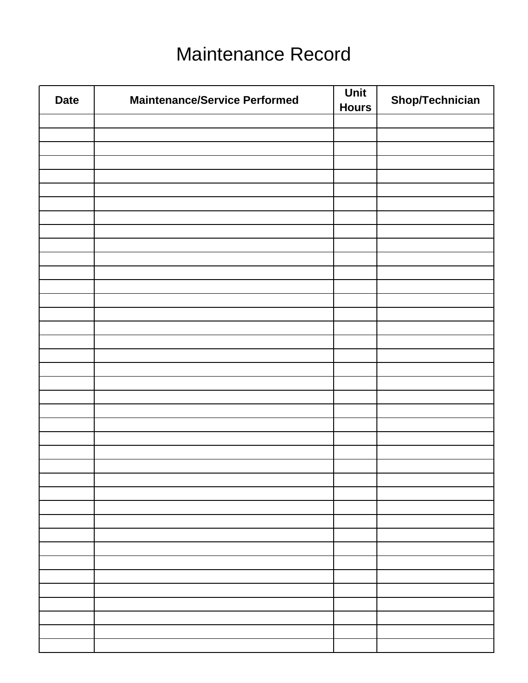# Maintenance Record

<span id="page-18-0"></span>

| <b>Date</b> | <b>Maintenance/Service Performed</b> | Unit<br><b>Hours</b> | Shop/Technician |
|-------------|--------------------------------------|----------------------|-----------------|
|             |                                      |                      |                 |
|             |                                      |                      |                 |
|             |                                      |                      |                 |
|             |                                      |                      |                 |
|             |                                      |                      |                 |
|             |                                      |                      |                 |
|             |                                      |                      |                 |
|             |                                      |                      |                 |
|             |                                      |                      |                 |
|             |                                      |                      |                 |
|             |                                      |                      |                 |
|             |                                      |                      |                 |
|             |                                      |                      |                 |
|             |                                      |                      |                 |
|             |                                      |                      |                 |
|             |                                      |                      |                 |
|             |                                      |                      |                 |
|             |                                      |                      |                 |
|             |                                      |                      |                 |
|             |                                      |                      |                 |
|             |                                      |                      |                 |
|             |                                      |                      |                 |
|             |                                      |                      |                 |
|             |                                      |                      |                 |
|             |                                      |                      |                 |
|             |                                      |                      |                 |
|             |                                      |                      |                 |
|             |                                      |                      |                 |
|             |                                      |                      |                 |
|             |                                      |                      |                 |
|             |                                      |                      |                 |
|             |                                      |                      |                 |
|             |                                      |                      |                 |
|             |                                      |                      |                 |
|             |                                      |                      |                 |
|             |                                      |                      |                 |
|             |                                      |                      |                 |
|             |                                      |                      |                 |
|             |                                      |                      |                 |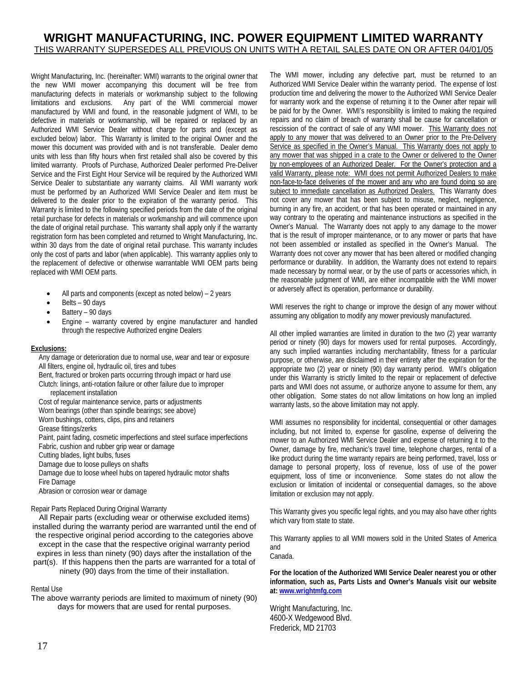#### **WRIGHT MANUFACTURING, INC. POWER EQUIPMENT LIMITED WARRANTY**  THIS WARRANTY SUPERSEDES ALL PREVIOUS ON UNITS WITH A RETAIL SALES DATE ON OR AFTER 04/01/05

Wright Manufacturing, Inc. (hereinafter: WMI) warrants to the original owner that the new WMI mower accompanying this document will be free from manufacturing defects in materials or workmanship subject to the following limitations and exclusions. Any part of the WMI commercial mower manufactured by WMI and found, in the reasonable judgment of WMI, to be defective in materials or workmanship, will be repaired or replaced by an Authorized WMI Service Dealer without charge for parts and (except as excluded below) labor. This Warranty is limited to the original Owner and the mower this document was provided with and is not transferable. Dealer demo units with less than fifty hours when first retailed shall also be covered by this limited warranty. Proofs of Purchase, Authorized Dealer performed Pre-Deliver Service and the First Eight Hour Service will be required by the Authorized WMI Service Dealer to substantiate any warranty claims. All WMI warranty work must be performed by an Authorized WMI Service Dealer and item must be delivered to the dealer prior to the expiration of the warranty period. This Warranty is limited to the following specified periods from the date of the original retail purchase for defects in materials or workmanship and will commence upon the date of original retail purchase. This warranty shall apply only if the warranty registration form has been completed and returned to Wright Manufacturing, Inc. within 30 days from the date of original retail purchase. This warranty includes only the cost of parts and labor (when applicable). This warranty applies only to the replacement of defective or otherwise warrantable WMI OEM parts being replaced with WMI OEM parts.

- All parts and components (except as noted below) 2 years
- Belts 90 days
- Battery 90 days
- Engine warranty covered by engine manufacturer and handled through the respective Authorized engine Dealers

#### **Exclusions:**

Any damage or deterioration due to normal use, wear and tear or exposure All filters, engine oil, hydraulic oil, tires and tubes Bent, fractured or broken parts occurring through impact or hard use Clutch: linings, anti-rotation failure or other failure due to improper replacement installation Cost of regular maintenance service, parts or adjustments Worn bearings (other than spindle bearings; see above) Worn bushings, cotters, clips, pins and retainers Grease fittings/zerks Paint, paint fading, cosmetic imperfections and steel surface imperfections Fabric, cushion and rubber grip wear or damage Cutting blades, light bulbs, fuses Damage due to loose pulleys on shafts Damage due to loose wheel hubs on tapered hydraulic motor shafts Fire Damage Abrasion or corrosion wear or damage Repair Parts Replaced During Original Warranty

All Repair parts (excluding wear or otherwise excluded items) installed during the warranty period are warranted until the end of the respective original period according to the categories above except in the case that the respective original warranty period expires in less than ninety (90) days after the installation of the part(s). If this happens then the parts are warranted for a total of ninety (90) days from the time of their installation.

#### Rental Use

The above warranty periods are limited to maximum of ninety (90) days for mowers that are used for rental purposes.

The WMI mower, including any defective part, must be returned to an Authorized WMI Service Dealer within the warranty period. The expense of lost production time and delivering the mower to the Authorized WMI Service Dealer for warranty work and the expense of returning it to the Owner after repair will be paid for by the Owner. WMI's responsibility is limited to making the required repairs and no claim of breach of warranty shall be cause for cancellation or rescission of the contract of sale of any WMI mower. This Warranty does not apply to any mower that was delivered to an Owner prior to the Pre-Delivery Service as specified in the Owner's Manual. This Warranty does not apply to any mower that was shipped in a crate to the Owner or delivered to the Owner by non-employees of an Authorized Dealer. For the Owner's protection and a valid Warranty, please note: WMI does not permit Authorized Dealers to make non-face-to-face deliveries of the mower and any who are found doing so are subject to immediate cancellation as Authorized Dealers. This Warranty does not cover any mower that has been subject to misuse, neglect, negligence, burning in any fire, an accident, or that has been operated or maintained in any way contrary to the operating and maintenance instructions as specified in the Owner's Manual. The Warranty does not apply to any damage to the mower that is the result of improper maintenance, or to any mower or parts that have not been assembled or installed as specified in the Owner's Manual. The Warranty does not cover any mower that has been altered or modified changing performance or durability. In addition, the Warranty does not extend to repairs made necessary by normal wear, or by the use of parts or accessories which, in the reasonable judgment of WMI, are either incompatible with the WMI mower or adversely affect its operation, performance or durability.

WMI reserves the right to change or improve the design of any mower without assuming any obligation to modify any mower previously manufactured.

All other implied warranties are limited in duration to the two (2) year warranty period or ninety (90) days for mowers used for rental purposes. Accordingly, any such implied warranties including merchantability, fitness for a particular purpose, or otherwise, are disclaimed in their entirety after the expiration for the appropriate two (2) year or ninety (90) day warranty period. WMI's obligation under this Warranty is strictly limited to the repair or replacement of defective parts and WMI does not assume, or authorize anyone to assume for them, any other obligation. Some states do not allow limitations on how long an implied warranty lasts, so the above limitation may not apply.

WMI assumes no responsibility for incidental, consequential or other damages including, but not limited to, expense for gasoline, expense of delivering the mower to an Authorized WMI Service Dealer and expense of returning it to the Owner, damage by fire, mechanic's travel time, telephone charges, rental of a like product during the time warranty repairs are being performed, travel, loss or damage to personal property, loss of revenue, loss of use of the power equipment, loss of time or inconvenience. Some states do not allow the exclusion or limitation of incidental or consequential damages, so the above limitation or exclusion may not apply.

This Warranty gives you specific legal rights, and you may also have other rights which vary from state to state.

This Warranty applies to all WMI mowers sold in the United States of America and Canada.

**For the location of the Authorized WMI Service Dealer nearest you or other information, such as, Parts Lists and Owner's Manuals visit our website at: [www.wrightmfg.com](http://www.wrightmfg.com/)**

Wright Manufacturing, Inc. 4600-X Wedgewood Blvd. Frederick, MD 21703